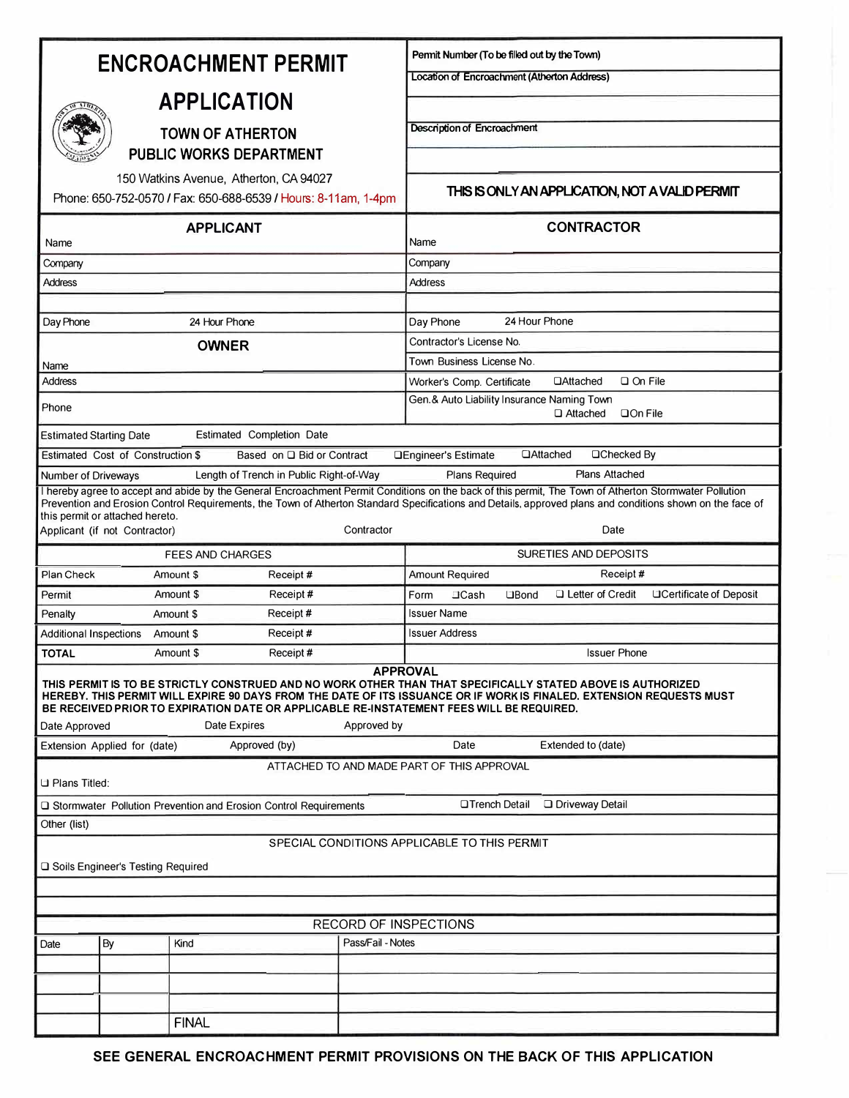| <b>ENCROACHMENT PERMIT</b>                                                                                                                                                                                                                                                                                                                                                                         |                              |                                      |               |                                                 | Pennit Number (To be filled out by the Town)                                       |  |
|----------------------------------------------------------------------------------------------------------------------------------------------------------------------------------------------------------------------------------------------------------------------------------------------------------------------------------------------------------------------------------------------------|------------------------------|--------------------------------------|---------------|-------------------------------------------------|------------------------------------------------------------------------------------|--|
|                                                                                                                                                                                                                                                                                                                                                                                                    |                              |                                      |               | Location of Encroachment (Atherton Address)     |                                                                                    |  |
| <b>APPLICATION</b>                                                                                                                                                                                                                                                                                                                                                                                 |                              |                                      |               |                                                 |                                                                                    |  |
| <b>TOWN OF ATHERTON</b>                                                                                                                                                                                                                                                                                                                                                                            |                              |                                      |               | <b>Description of Encroachment</b>              |                                                                                    |  |
| <b>PUBLIC WORKS DEPARTMENT</b>                                                                                                                                                                                                                                                                                                                                                                     |                              |                                      |               |                                                 |                                                                                    |  |
| 150 Watkins Avenue, Atherton, CA 94027<br>Phone: 650-752-0570 / Fax: 650-688-6539 / Hours: 8-11am, 1-4pm                                                                                                                                                                                                                                                                                           |                              |                                      |               | THIS IS ONLY AN APPLICATION, NOT A VALID PERMIT |                                                                                    |  |
| <b>APPLICANT</b><br>Name                                                                                                                                                                                                                                                                                                                                                                           |                              |                                      |               | <b>CONTRACTOR</b><br>Name                       |                                                                                    |  |
| Company                                                                                                                                                                                                                                                                                                                                                                                            |                              |                                      |               |                                                 | Company                                                                            |  |
| <b>Address</b>                                                                                                                                                                                                                                                                                                                                                                                     |                              |                                      |               |                                                 | <b>Address</b>                                                                     |  |
|                                                                                                                                                                                                                                                                                                                                                                                                    |                              |                                      |               |                                                 |                                                                                    |  |
| Day Phone                                                                                                                                                                                                                                                                                                                                                                                          |                              | 24 Hour Phone                        |               |                                                 | 24 Hour Phone<br>Day Phone                                                         |  |
|                                                                                                                                                                                                                                                                                                                                                                                                    |                              | <b>OWNER</b>                         |               |                                                 | Contractor's License No.<br>Town Business License No.                              |  |
| Name<br><b>Address</b>                                                                                                                                                                                                                                                                                                                                                                             |                              |                                      |               |                                                 | $\Box$ On File<br>Worker's Comp. Certificate<br><b>DAttached</b>                   |  |
|                                                                                                                                                                                                                                                                                                                                                                                                    |                              |                                      |               |                                                 | Gen.& Auto Liability Insurance Naming Town                                         |  |
| Phone                                                                                                                                                                                                                                                                                                                                                                                              |                              |                                      |               |                                                 | □ Attached<br>$\Box$ On File                                                       |  |
| Estimated Completion Date<br><b>Estimated Starting Date</b>                                                                                                                                                                                                                                                                                                                                        |                              |                                      |               |                                                 |                                                                                    |  |
| <b>QAttached</b><br>□Checked By<br>Estimated Cost of Construction \$<br>Based on □ Bid or Contract<br><b>QEngineer's Estimate</b>                                                                                                                                                                                                                                                                  |                              |                                      |               |                                                 |                                                                                    |  |
| <b>Plans Attached</b><br>Length of Trench in Public Right-of-Way<br>Plans Required<br>Number of Driveways<br>I hereby agree to accept and abide by the General Encroachment Permit Conditions on the back of this permit, The Town of Atherton Stormwater Pollution                                                                                                                                |                              |                                      |               |                                                 |                                                                                    |  |
| Prevention and Erosion Control Requirements, the Town of Atherton Standard Specifications and Details, approved plans and conditions shown on the face of<br>this permit or attached hereto.<br>Date<br>Applicant (if not Contractor)<br>Contractor                                                                                                                                                |                              |                                      |               |                                                 |                                                                                    |  |
|                                                                                                                                                                                                                                                                                                                                                                                                    |                              |                                      |               |                                                 |                                                                                    |  |
| Plan Check                                                                                                                                                                                                                                                                                                                                                                                         |                              | <b>FEES AND CHARGES</b><br>Amount \$ | Receipt#      |                                                 | SURETIES AND DEPOSITS<br>Amount Required<br>Receipt#                               |  |
| Permit                                                                                                                                                                                                                                                                                                                                                                                             |                              | Amount \$                            | Receipt#      |                                                 | Letter of Credit<br>□Certificate of Deposit<br>Form<br>$\Box$ Cash<br><b>OBond</b> |  |
| Penalty                                                                                                                                                                                                                                                                                                                                                                                            |                              | Amount \$                            | Receipt#      |                                                 | <b>Issuer Name</b>                                                                 |  |
| <b>Additional Inspections</b>                                                                                                                                                                                                                                                                                                                                                                      |                              | Amount \$                            | Receipt#      |                                                 | <b>Issuer Address</b>                                                              |  |
| <b>TOTAL</b>                                                                                                                                                                                                                                                                                                                                                                                       |                              | Amount \$                            | Receipt#      |                                                 | <b>Issuer Phone</b>                                                                |  |
| <b>APPROVAL</b><br>THIS PERMIT IS TO BE STRICTLY CONSTRUED AND NO WORK OTHER THAN THAT SPECIFICALLY STATED ABOVE IS AUTHORIZED<br>HEREBY. THIS PERMIT WILL EXPIRE 90 DAYS FROM THE DATE OF ITS ISSUANCE OR IF WORK IS FINALED. EXTENSION REQUESTS MUST<br>BE RECEIVED PRIOR TO EXPIRATION DATE OR APPLICABLE RE-INSTATEMENT FEES WILL BE REQUIRED.<br>Date Approved<br>Approved by<br>Date Expires |                              |                                      |               |                                                 |                                                                                    |  |
|                                                                                                                                                                                                                                                                                                                                                                                                    | Extension Applied for (date) |                                      | Approved (by) |                                                 | Date<br>Extended to (date)                                                         |  |
| ATTACHED TO AND MADE PART OF THIS APPROVAL<br><b>D</b> Plans Titled:                                                                                                                                                                                                                                                                                                                               |                              |                                      |               |                                                 |                                                                                    |  |
| Driveway Detail<br>□Trench Detail<br>□ Stormwater Pollution Prevention and Erosion Control Requirements                                                                                                                                                                                                                                                                                            |                              |                                      |               |                                                 |                                                                                    |  |
| Other (list)                                                                                                                                                                                                                                                                                                                                                                                       |                              |                                      |               |                                                 |                                                                                    |  |
| SPECIAL CONDITIONS APPLICABLE TO THIS PERMIT<br>□ Soils Engineer's Testing Required                                                                                                                                                                                                                                                                                                                |                              |                                      |               |                                                 |                                                                                    |  |
|                                                                                                                                                                                                                                                                                                                                                                                                    |                              |                                      |               |                                                 |                                                                                    |  |
|                                                                                                                                                                                                                                                                                                                                                                                                    |                              |                                      |               |                                                 |                                                                                    |  |
| <b>RECORD OF INSPECTIONS</b><br>Pass/Fail - Notes                                                                                                                                                                                                                                                                                                                                                  |                              |                                      |               |                                                 |                                                                                    |  |
| Date                                                                                                                                                                                                                                                                                                                                                                                               | By                           | Kind                                 |               |                                                 |                                                                                    |  |
|                                                                                                                                                                                                                                                                                                                                                                                                    |                              |                                      |               |                                                 |                                                                                    |  |
|                                                                                                                                                                                                                                                                                                                                                                                                    |                              |                                      |               |                                                 |                                                                                    |  |
|                                                                                                                                                                                                                                                                                                                                                                                                    |                              | <b>FINAL</b>                         |               |                                                 |                                                                                    |  |
|                                                                                                                                                                                                                                                                                                                                                                                                    |                              |                                      |               |                                                 |                                                                                    |  |

**SEE GENERAL ENCROACHMENT PERMIT PROVISIONS ON THE BACK OF THIS APPLICATION**